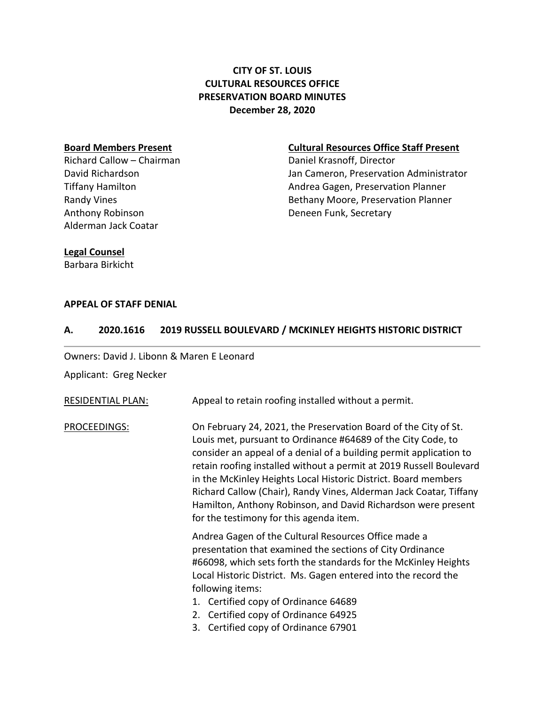# **CITY OF ST. LOUIS CULTURAL RESOURCES OFFICE PRESERVATION BOARD MINUTES December 28, 2020**

Richard Callow – Chairman Daniel Krasnoff, Director Anthony Robinson **Deneen Funk, Secretary** Alderman Jack Coatar

#### **Board Members Present Cultural Resources Office Staff Present**

David Richardson Jan Cameron, Preservation Administrator Tiffany Hamilton **Andrea Gagen, Preservation Planner** Randy Vines **Bethany Moore, Preservation Planner** Bethany Moore, Preservation Planner

### **Legal Counsel**

Barbara Birkicht

### **APPEAL OF STAFF DENIAL**

#### **A. 2020.1616 2019 RUSSELL BOULEVARD / MCKINLEY HEIGHTS HISTORIC DISTRICT**

Owners: David J. Libonn & Maren E Leonard

Applicant: Greg Necker

| <b>RESIDENTIAL PLAN:</b> | Appeal to retain roofing installed without a permit.                                                                                                                                                                                                                                                                                                                                                                                                                                                                             |
|--------------------------|----------------------------------------------------------------------------------------------------------------------------------------------------------------------------------------------------------------------------------------------------------------------------------------------------------------------------------------------------------------------------------------------------------------------------------------------------------------------------------------------------------------------------------|
| PROCEEDINGS:             | On February 24, 2021, the Preservation Board of the City of St.<br>Louis met, pursuant to Ordinance #64689 of the City Code, to<br>consider an appeal of a denial of a building permit application to<br>retain roofing installed without a permit at 2019 Russell Boulevard<br>in the McKinley Heights Local Historic District. Board members<br>Richard Callow (Chair), Randy Vines, Alderman Jack Coatar, Tiffany<br>Hamilton, Anthony Robinson, and David Richardson were present<br>for the testimony for this agenda item. |
|                          | Andrea Gagen of the Cultural Resources Office made a<br>presentation that examined the sections of City Ordinance<br>#66098, which sets forth the standards for the McKinley Heights<br>Local Historic District. Ms. Gagen entered into the record the<br>following items:<br>1. Certified copy of Ordinance 64689<br>2. Certified copy of Ordinance 64925<br>3. Certified copy of Ordinance 67901                                                                                                                               |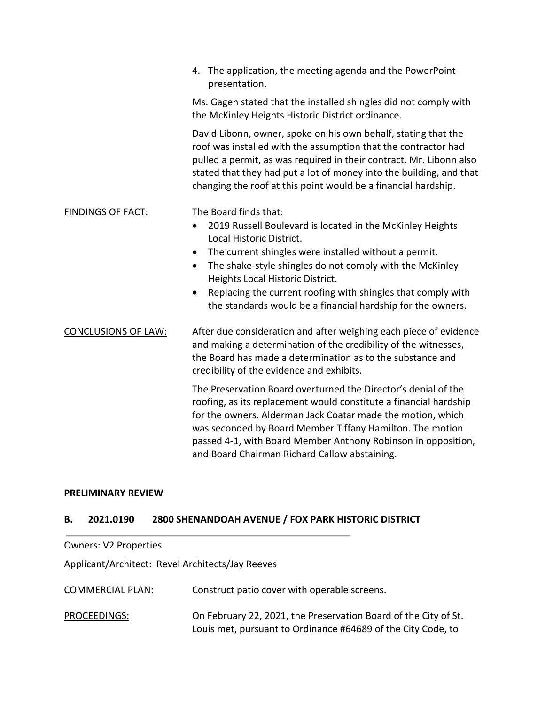|                            | 4. The application, the meeting agenda and the PowerPoint<br>presentation.                                                                                                                                                                                                                                                                                                        |
|----------------------------|-----------------------------------------------------------------------------------------------------------------------------------------------------------------------------------------------------------------------------------------------------------------------------------------------------------------------------------------------------------------------------------|
|                            | Ms. Gagen stated that the installed shingles did not comply with<br>the McKinley Heights Historic District ordinance.                                                                                                                                                                                                                                                             |
|                            | David Libonn, owner, spoke on his own behalf, stating that the<br>roof was installed with the assumption that the contractor had<br>pulled a permit, as was required in their contract. Mr. Libonn also<br>stated that they had put a lot of money into the building, and that<br>changing the roof at this point would be a financial hardship.                                  |
| <b>FINDINGS OF FACT:</b>   | The Board finds that:                                                                                                                                                                                                                                                                                                                                                             |
|                            | 2019 Russell Boulevard is located in the McKinley Heights<br>$\bullet$<br>Local Historic District.                                                                                                                                                                                                                                                                                |
|                            | The current shingles were installed without a permit.<br>$\bullet$                                                                                                                                                                                                                                                                                                                |
|                            | The shake-style shingles do not comply with the McKinley<br>$\bullet$<br>Heights Local Historic District.                                                                                                                                                                                                                                                                         |
|                            | Replacing the current roofing with shingles that comply with<br>$\bullet$                                                                                                                                                                                                                                                                                                         |
|                            | the standards would be a financial hardship for the owners.                                                                                                                                                                                                                                                                                                                       |
| <b>CONCLUSIONS OF LAW:</b> | After due consideration and after weighing each piece of evidence<br>and making a determination of the credibility of the witnesses,<br>the Board has made a determination as to the substance and<br>credibility of the evidence and exhibits.                                                                                                                                   |
|                            | The Preservation Board overturned the Director's denial of the<br>roofing, as its replacement would constitute a financial hardship<br>for the owners. Alderman Jack Coatar made the motion, which<br>was seconded by Board Member Tiffany Hamilton. The motion<br>passed 4-1, with Board Member Anthony Robinson in opposition,<br>and Board Chairman Richard Callow abstaining. |
|                            |                                                                                                                                                                                                                                                                                                                                                                                   |

#### **PRELIMINARY REVIEW**

## **B. 2021.0190 2800 SHENANDOAH AVENUE / FOX PARK HISTORIC DISTRICT**

#### Owners: V2 Properties

Applicant/Architect: Revel Architects/Jay Reeves

COMMERCIAL PLAN: Construct patio cover with operable screens.

PROCEEDINGS: On February 22, 2021, the Preservation Board of the City of St. Louis met, pursuant to Ordinance #64689 of the City Code, to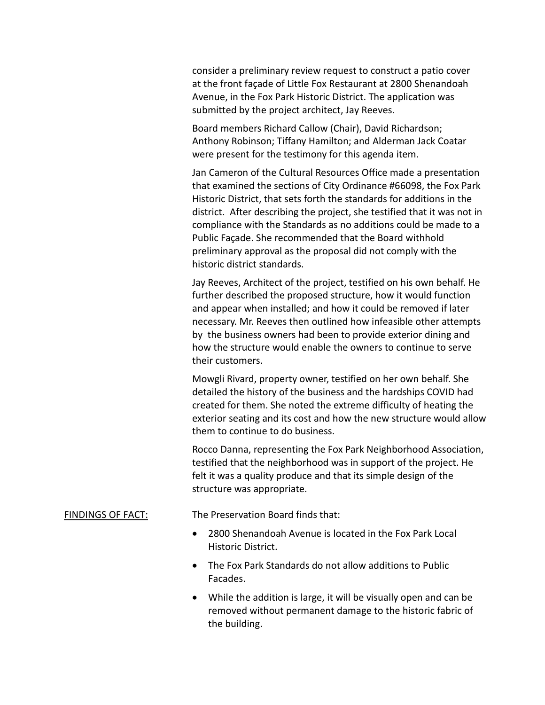consider a preliminary review request to construct a patio cover at the front façade of Little Fox Restaurant at 2800 Shenandoah Avenue, in the Fox Park Historic District. The application was submitted by the project architect, Jay Reeves.

Board members Richard Callow (Chair), David Richardson; Anthony Robinson; Tiffany Hamilton; and Alderman Jack Coatar were present for the testimony for this agenda item.

Jan Cameron of the Cultural Resources Office made a presentation that examined the sections of City Ordinance #66098, the Fox Park Historic District, that sets forth the standards for additions in the district. After describing the project, she testified that it was not in compliance with the Standards as no additions could be made to a Public Façade. She recommended that the Board withhold preliminary approval as the proposal did not comply with the historic district standards.

Jay Reeves, Architect of the project, testified on his own behalf. He further described the proposed structure, how it would function and appear when installed; and how it could be removed if later necessary. Mr. Reeves then outlined how infeasible other attempts by the business owners had been to provide exterior dining and how the structure would enable the owners to continue to serve their customers.

Mowgli Rivard, property owner, testified on her own behalf. She detailed the history of the business and the hardships COVID had created for them. She noted the extreme difficulty of heating the exterior seating and its cost and how the new structure would allow them to continue to do business.

Rocco Danna, representing the Fox Park Neighborhood Association, testified that the neighborhood was in support of the project. He felt it was a quality produce and that its simple design of the structure was appropriate.

#### FINDINGS OF FACT: The Preservation Board finds that:

- 2800 Shenandoah Avenue is located in the Fox Park Local Historic District.
- The Fox Park Standards do not allow additions to Public Facades.
- While the addition is large, it will be visually open and can be removed without permanent damage to the historic fabric of the building.